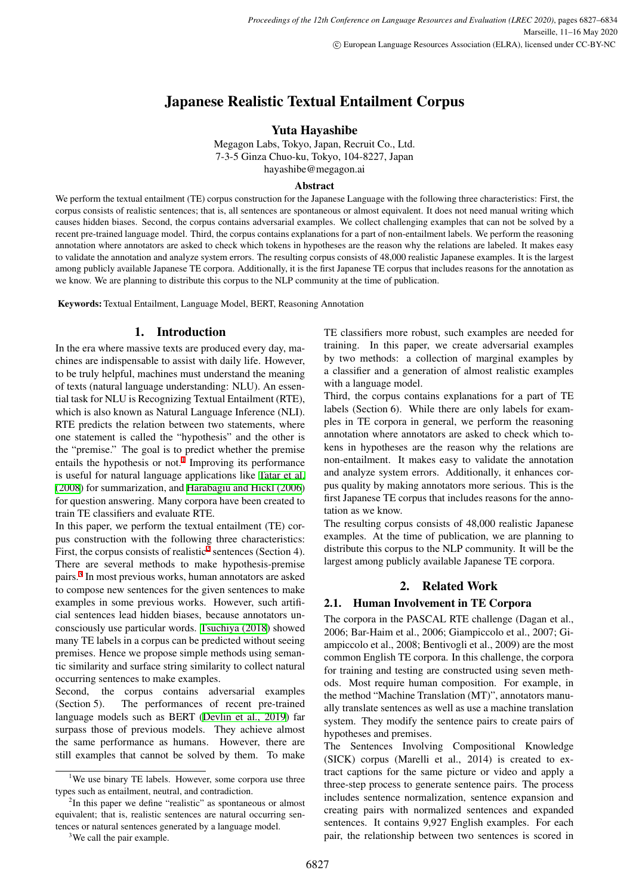# Japanese Realistic Textual Entailment Corpus

# Yuta Hayashibe

Megagon Labs, Tokyo, Japan, Recruit Co., Ltd. 7-3-5 Ginza Chuo-ku, Tokyo, 104-8227, Japan hayashibe@megagon.ai

#### Abstract

We perform the textual entailment (TE) corpus construction for the Japanese Language with the following three characteristics: First, the corpus consists of realistic sentences; that is, all sentences are spontaneous or almost equivalent. It does not need manual writing which causes hidden biases. Second, the corpus contains adversarial examples. We collect challenging examples that can not be solved by a recent pre-trained language model. Third, the corpus contains explanations for a part of non-entailment labels. We perform the reasoning annotation where annotators are asked to check which tokens in hypotheses are the reason why the relations are labeled. It makes easy to validate the annotation and analyze system errors. The resulting corpus consists of 48,000 realistic Japanese examples. It is the largest among publicly available Japanese TE corpora. Additionally, it is the first Japanese TE corpus that includes reasons for the annotation as we know. We are planning to distribute this corpus to the NLP community at the time of publication.

Keywords: Textual Entailment, Language Model, BERT, Reasoning Annotation

### 1. Introduction

In the era where massive texts are produced every day, machines are indispensable to assist with daily life. However, to be truly helpful, machines must understand the meaning of texts (natural language understanding: NLU). An essential task for NLU is Recognizing Textual Entailment (RTE), which is also known as Natural Language Inference (NLI). RTE predicts the relation between two statements, where one statement is called the "hypothesis" and the other is the "premise." The goal is to predict whether the premise entails the hypothesis or not.<sup>[1](#page-0-0)</sup> Improving its performance is useful for natural language applications like [Tatar et al.](#page-6-0) [\(2008](#page-6-0)) for summarization, and [Harabagiu and Hickl \(2006\)](#page-6-1) for question answering. Many corpora have been created to train TE classifiers and evaluate RTE.

In this paper, we perform the textual entailment (TE) corpus construction with the following three characteristics: First, the corpus consists of realistic<sup>[2](#page-0-1)</sup> sentences (Section 4). There are several methods to make hypothesis-premise pairs.[3](#page-0-2) In most previous works, human annotators are asked to compose new sentences for the given sentences to make examples in some previous works. However, such artificial sentences lead hidden biases, because annotators unconsciously use particular words. [Tsuchiya \(2018\)](#page-6-2) showed many TE labels in a corpus can be predicted without seeing premises. Hence we propose simple methods using semantic similarity and surface string similarity to collect natural occurring sentences to make examples.

Second, the corpus contains adversarial examples (Section 5). The performances of recent pre-trained language models such as BERT ([Devlin et al., 2019\)](#page-6-3) far surpass those of previous models. They achieve almost the same performance as humans. However, there are still examples that cannot be solved by them. To make TE classifiers more robust, such examples are needed for training. In this paper, we create adversarial examples by two methods: a collection of marginal examples by a classifier and a generation of almost realistic examples with a language model.

Third, the corpus contains explanations for a part of TE labels (Section 6). While there are only labels for examples in TE corpora in general, we perform the reasoning annotation where annotators are asked to check which tokens in hypotheses are the reason why the relations are non-entailment. It makes easy to validate the annotation and analyze system errors. Additionally, it enhances corpus quality by making annotators more serious. This is the first Japanese TE corpus that includes reasons for the annotation as we know.

The resulting corpus consists of 48,000 realistic Japanese examples. At the time of publication, we are planning to distribute this corpus to the NLP community. It will be the largest among publicly available Japanese TE corpora.

# 2. Related Work

### 2.1. Human Involvement in TE Corpora

The corpora in the PASCAL RTE challenge (Dagan et al., 2006; Bar-Haim et al., 2006; Giampiccolo et al., 2007; Giampiccolo et al., 2008; Bentivogli et al., 2009) are the most common English TE corpora. In this challenge, the corpora for training and testing are constructed using seven methods. Most require human composition. For example, in the method "Machine Translation (MT)", annotators manually translate sentences as well as use a machine translation system. They modify the sentence pairs to create pairs of hypotheses and premises.

The Sentences Involving Compositional Knowledge (SICK) corpus (Marelli et al., 2014) is created to extract captions for the same picture or video and apply a three-step process to generate sentence pairs. The process includes sentence normalization, sentence expansion and creating pairs with normalized sentences and expanded sentences. It contains 9,927 English examples. For each pair, the relationship between two sentences is scored in

<span id="page-0-0"></span><sup>&</sup>lt;sup>1</sup>We use binary TE labels. However, some corpora use three types such as entailment, neutral, and contradiction.

<span id="page-0-1"></span><sup>&</sup>lt;sup>2</sup>In this paper we define "realistic" as spontaneous or almost equivalent; that is, realistic sentences are natural occurring sentences or natural sentences generated by a language model.

<span id="page-0-2"></span><sup>&</sup>lt;sup>3</sup>We call the pair example.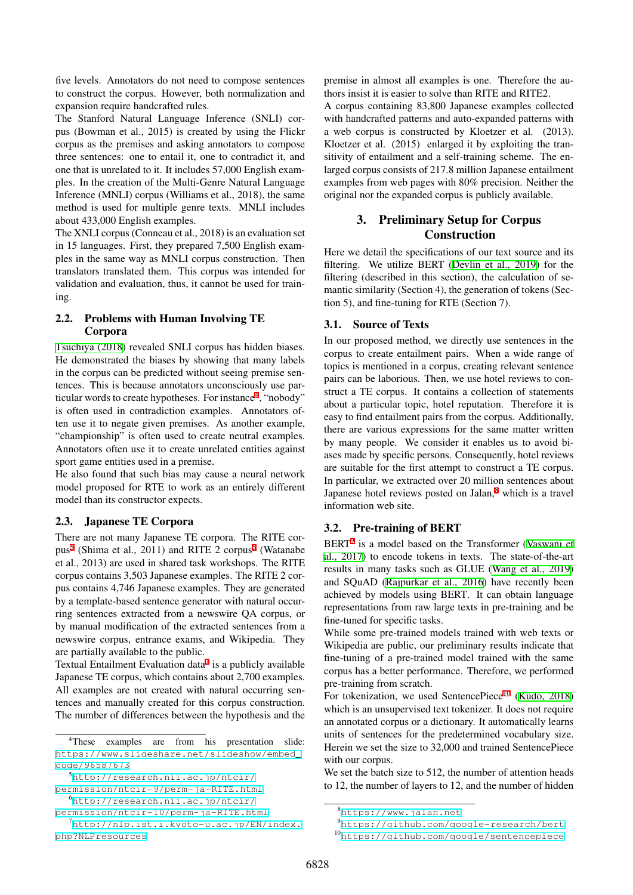five levels. Annotators do not need to compose sentences to construct the corpus. However, both normalization and expansion require handcrafted rules.

The Stanford Natural Language Inference (SNLI) corpus (Bowman et al., 2015) is created by using the Flickr corpus as the premises and asking annotators to compose three sentences: one to entail it, one to contradict it, and one that is unrelated to it. It includes 57,000 English examples. In the creation of the Multi-Genre Natural Language Inference (MNLI) corpus (Williams et al., 2018), the same method is used for multiple genre texts. MNLI includes about 433,000 English examples.

The XNLI corpus (Conneau et al., 2018) is an evaluation set in 15 languages. First, they prepared 7,500 English examples in the same way as MNLI corpus construction. Then translators translated them. This corpus was intended for validation and evaluation, thus, it cannot be used for training.

### 2.2. Problems with Human Involving TE Corpora

[Tsuchiya \(2018](#page-6-2)) revealed SNLI corpus has hidden biases. He demonstrated the biases by showing that many labels in the corpus can be predicted without seeing premise sentences. This is because annotators unconsciously use par-ticular words to create hypotheses. For instance<sup>[4](#page-1-0)</sup>, "nobody" is often used in contradiction examples. Annotators often use it to negate given premises. As another example, "championship" is often used to create neutral examples. Annotators often use it to create unrelated entities against sport game entities used in a premise.

He also found that such bias may cause a neural network model proposed for RTE to work as an entirely different model than its constructor expects.

# 2.3. Japanese TE Corpora

There are not many Japanese TE corpora. The RITE cor-pus<sup>[5](#page-1-1)</sup> (Shima et al., 2011) and RITE 2 corpus<sup>[6](#page-1-2)</sup> (Watanabe et al., 2013) are used in shared task workshops. The RITE corpus contains 3,503 Japanese examples. The RITE 2 corpus contains 4,746 Japanese examples. They are generated by a template-based sentence generator with natural occurring sentences extracted from a newswire QA corpus, or by manual modification of the extracted sentences from a newswire corpus, entrance exams, and Wikipedia. They are partially available to the public.

Textual Entailment Evaluation data $^7$  $^7$  is a publicly available Japanese TE corpus, which contains about 2,700 examples. All examples are not created with natural occurring sentences and manually created for this corpus construction. The number of differences between the hypothesis and the premise in almost all examples is one. Therefore the authors insist it is easier to solve than RITE and RITE2. A corpus containing 83,800 Japanese examples collected with handcrafted patterns and auto-expanded patterns with a web corpus is constructed by Kloetzer et al. (2013). Kloetzer et al. (2015) enlarged it by exploiting the transitivity of entailment and a self-training scheme. The enlarged corpus consists of 217.8 million Japanese entailment examples from web pages with 80% precision. Neither the original nor the expanded corpus is publicly available.

# 3. Preliminary Setup for Corpus Construction

Here we detail the specifications of our text source and its filtering. We utilize BERT [\(Devlin et al., 2019](#page-6-3)) for the filtering (described in this section), the calculation of semantic similarity (Section 4), the generation of tokens (Section 5), and fine-tuning for RTE (Section 7).

# 3.1. Source of Texts

In our proposed method, we directly use sentences in the corpus to create entailment pairs. When a wide range of topics is mentioned in a corpus, creating relevant sentence pairs can be laborious. Then, we use hotel reviews to construct a TE corpus. It contains a collection of statements about a particular topic, hotel reputation. Therefore it is easy to find entailment pairs from the corpus. Additionally, there are various expressions for the same matter written by many people. We consider it enables us to avoid biases made by specific persons. Consequently, hotel reviews are suitable for the first attempt to construct a TE corpus. In particular, we extracted over 20 million sentences about Japanese hotel reviews posted on Jalan,<sup>[8](#page-1-4)</sup> which is a travel information web site.

# 3.2. Pre-training of BERT

BERT<sup>[9](#page-1-5)</sup> is a model based on the Transformer [\(Vaswani et](#page-6-4) [al., 2017](#page-6-4)) to encode tokens in texts. The state-of-the-art results in many tasks such as GLUE ([Wang et al., 2019](#page-6-5)) and SQuAD ([Rajpurkar et al., 2016\)](#page-6-6) have recently been achieved by models using BERT. It can obtain language representations from raw large texts in pre-training and be fine-tuned for specific tasks.

While some pre-trained models trained with web texts or Wikipedia are public, our preliminary results indicate that fine-tuning of a pre-trained model trained with the same corpus has a better performance. Therefore, we performed pre-training from scratch.

For tokenization, we used SentencePiece<sup>[10](#page-1-6)</sup> ([Kudo, 2018](#page-6-7)) which is an unsupervised text tokenizer. It does not require an annotated corpus or a dictionary. It automatically learns units of sentences for the predetermined vocabulary size. Herein we set the size to 32,000 and trained SentencePiece with our corpus.

We set the batch size to 512, the number of attention heads to 12, the number of layers to 12, and the number of hidden

<span id="page-1-0"></span><sup>4</sup>These examples are from his presentation slide: [https://www.slideshare.net/slideshow/embed\\_](https://www.slideshare.net/slideshow/embed_code/96587673) [code/96587673](https://www.slideshare.net/slideshow/embed_code/96587673)

<span id="page-1-1"></span><sup>5</sup>[http://research.nii.ac.jp/ntcir/](http://research.nii.ac.jp/ntcir/permission/ntcir-9/perm-ja-RITE.html)

<span id="page-1-2"></span>[permission/ntcir-9/perm-ja-RITE.html](http://research.nii.ac.jp/ntcir/permission/ntcir-9/perm-ja-RITE.html) <sup>6</sup>[http://research.nii.ac.jp/ntcir/](http://research.nii.ac.jp/ntcir/permission/ntcir-10/perm-ja-RITE.html)

[permission/ntcir-10/perm-ja-RITE.html](http://research.nii.ac.jp/ntcir/permission/ntcir-10/perm-ja-RITE.html)

<span id="page-1-3"></span><sup>7</sup>[http://nlp.ist.i.kyoto-u.ac.jp/EN/index.](http://nlp.ist.i.kyoto-u.ac.jp/EN/index.php?NLPresources) [php?NLPresources](http://nlp.ist.i.kyoto-u.ac.jp/EN/index.php?NLPresources)

<span id="page-1-4"></span><sup>8</sup><https://www.jalan.net>

<span id="page-1-5"></span><sup>9</sup><https://github.com/google-research/bert>

<span id="page-1-6"></span><sup>10</sup><https://github.com/google/sentencepiece>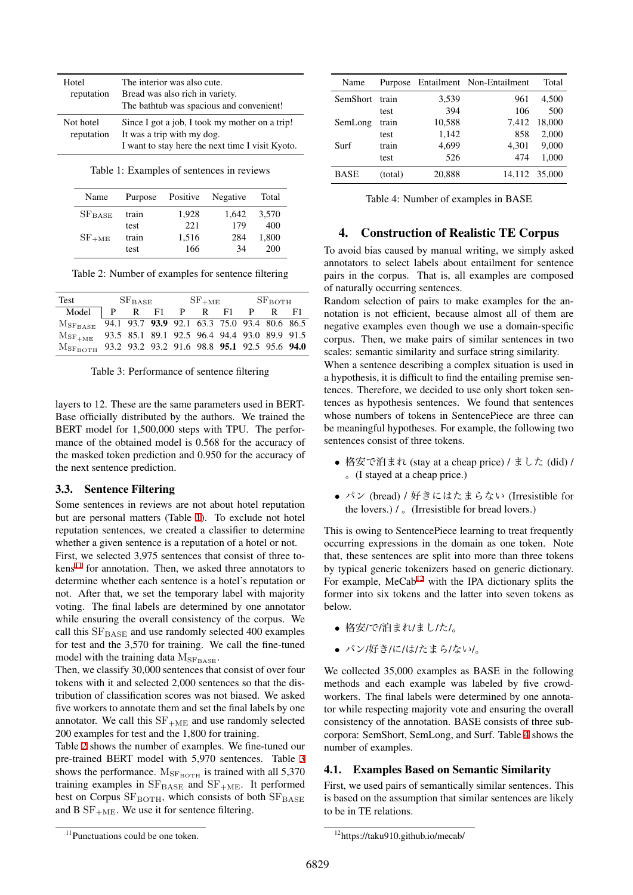| Hotel<br>reputation     | The interior was also cute.<br>Bread was also rich in variety.<br>The bathtub was spacious and convenient!                       |
|-------------------------|----------------------------------------------------------------------------------------------------------------------------------|
| Not hotel<br>reputation | Since I got a job, I took my mother on a trip!<br>It was a trip with my dog.<br>I want to stay here the next time I visit Kyoto. |

<span id="page-2-0"></span>

|  | Table 1: Examples of sentences in reviews |  |  |
|--|-------------------------------------------|--|--|
|  |                                           |  |  |

| Name        | Purpose | Positive | Negative | Total |
|-------------|---------|----------|----------|-------|
| $SF_{BASE}$ | train   | 1,928    | 1.642    | 3.570 |
|             | test    | 22.1     | 179      | 400   |
| $SF_{+ME}$  | train   | 1,516    | 284      | 1.800 |
|             | test    | 166      | 34       | 200   |

<span id="page-2-2"></span>Table 2: Number of examples for sentence filtering

| Test                                          |  |  |  | $SFBASE$ $SF+ME$ $SFBOTH$ |  |  |                                              |  |  |
|-----------------------------------------------|--|--|--|---------------------------|--|--|----------------------------------------------|--|--|
| Model $\vert$ P R F1 P R F1 P R F1            |  |  |  |                           |  |  |                                              |  |  |
| ${\rm M}_{\rm{S} {\rm{F}}_{\rm{B} \rm{ASE}}}$ |  |  |  |                           |  |  | 94.1 93.7 93.9 92.1 63.3 75.0 93.4 80.6 86.5 |  |  |
| ${\rm M_{SF_{+ME}}}$                          |  |  |  |                           |  |  | 93.5 85.1 89.1 92.5 96.4 94.4 93.0 89.9 91.5 |  |  |
| ${\rm M_{SF_{ROTH}}}$                         |  |  |  |                           |  |  | 93.2 93.2 93.2 91.6 98.8 95.1 92.5 95.6 94.0 |  |  |

<span id="page-2-3"></span>

| Table 3: Performance of sentence filtering |  |  |
|--------------------------------------------|--|--|
|--------------------------------------------|--|--|

layers to 12. These are the same parameters used in BERT-Base officially distributed by the authors. We trained the BERT model for 1,500,000 steps with TPU. The performance of the obtained model is 0.568 for the accuracy of the masked token prediction and 0.950 for the accuracy of the next sentence prediction.

#### 3.3. Sentence Filtering

Some sentences in reviews are not about hotel reputation but are personal matters (Table [1](#page-2-0)). To exclude not hotel reputation sentences, we created a classifier to determine whether a given sentence is a reputation of a hotel or not.

First, we selected 3,975 sentences that consist of three to- $kens<sup>11</sup>$  $kens<sup>11</sup>$  $kens<sup>11</sup>$  for annotation. Then, we asked three annotators to determine whether each sentence is a hotel's reputation or not. After that, we set the temporary label with majority voting. The final labels are determined by one annotator while ensuring the overall consistency of the corpus. We call this  $SF<sub>BASE</sub>$  and use randomly selected 400 examples for test and the 3,570 for training. We call the fine-tuned model with the training data  $M_{\rm SF_{BASE}}$ .

Then, we classify 30,000 sentences that consist of over four tokens with it and selected 2,000 sentences so that the distribution of classification scores was not biased. We asked five workers to annotate them and set the final labels by one annotator. We call this  $SF<sub>+ME</sub>$  and use randomly selected 200 examples for test and the 1,800 for training.

Table [2](#page-2-2) shows the number of examples. We fine-tuned our pre-trained BERT model with 5,970 sentences. Table [3](#page-2-3) shows the performance.  $M_{\rm SF_{\rm BOTH}}$  is trained with all 5,370 training examples in  $SF<sub>BASE</sub>$  and  $SF<sub>+ME</sub>$ . It performed best on Corpus  $SF<sub>BOTH</sub>$ , which consists of both  $SF<sub>BASE</sub>$ and B  $SF<sub>+ME</sub>$ . We use it for sentence filtering.

| Name        |         |        | Purpose Entailment Non-Entailment | Total         |
|-------------|---------|--------|-----------------------------------|---------------|
| SemShort    | train   | 3,539  | 961                               | 4.500         |
|             | test    | 394    | 106                               | 500           |
| SemLong     | train   | 10,588 | 7.412                             | 18.000        |
|             | test    | 1,142  | 858                               | 2,000         |
| Surf        | train   | 4,699  | 4,301                             | 9.000         |
|             | test    | 526    | 474                               | 1,000         |
| <b>BASE</b> | (total) | 20,888 |                                   | 14,112 35,000 |

<span id="page-2-5"></span>Table 4: Number of examples in BASE

### 4. Construction of Realistic TE Corpus

To avoid bias caused by manual writing, we simply asked annotators to select labels about entailment for sentence pairs in the corpus. That is, all examples are composed of naturally occurring sentences.

Random selection of pairs to make examples for the annotation is not efficient, because almost all of them are negative examples even though we use a domain-specific corpus. Then, we make pairs of similar sentences in two scales: semantic similarity and surface string similarity.

When a sentence describing a complex situation is used in a hypothesis, it is difficult to find the entailing premise sentences. Therefore, we decided to use only short token sentences as hypothesis sentences. We found that sentences whose numbers of tokens in SentencePiece are three can be meaningful hypotheses. For example, the following two sentences consist of three tokens.

- *•* 格安で泊まれ (stay at a cheap price) / ました (did) / 。(I stayed at a cheap price.)
- **パン (bread) / 好きにはたまらない (Irresistible for** the lovers.)  $\ell_{\circ}$  (Irresistible for bread lovers.)

This is owing to SentencePiece learning to treat frequently occurring expressions in the domain as one token. Note that, these sentences are split into more than three tokens by typical generic tokenizers based on generic dictionary. For example,  $MeCab^{12}$  $MeCab^{12}$  $MeCab^{12}$  with the IPA dictionary splits the former into six tokens and the latter into seven tokens as below.

- *•* 格安/で/泊まれ/まし/た/。
- パン/好き/に/は/たまら/ない/。

We collected 35,000 examples as BASE in the following methods and each example was labeled by five crowdworkers. The final labels were determined by one annotator while respecting majority vote and ensuring the overall consistency of the annotation. BASE consists of three subcorpora: SemShort, SemLong, and Surf. Table [4](#page-2-5) shows the number of examples.

#### 4.1. Examples Based on Semantic Similarity

First, we used pairs of semantically similar sentences. This is based on the assumption that similar sentences are likely to be in TE relations.

<span id="page-2-1"></span><sup>&</sup>lt;sup>11</sup>Punctuations could be one token.

<span id="page-2-4"></span><sup>12</sup>https://taku910.github.io/mecab/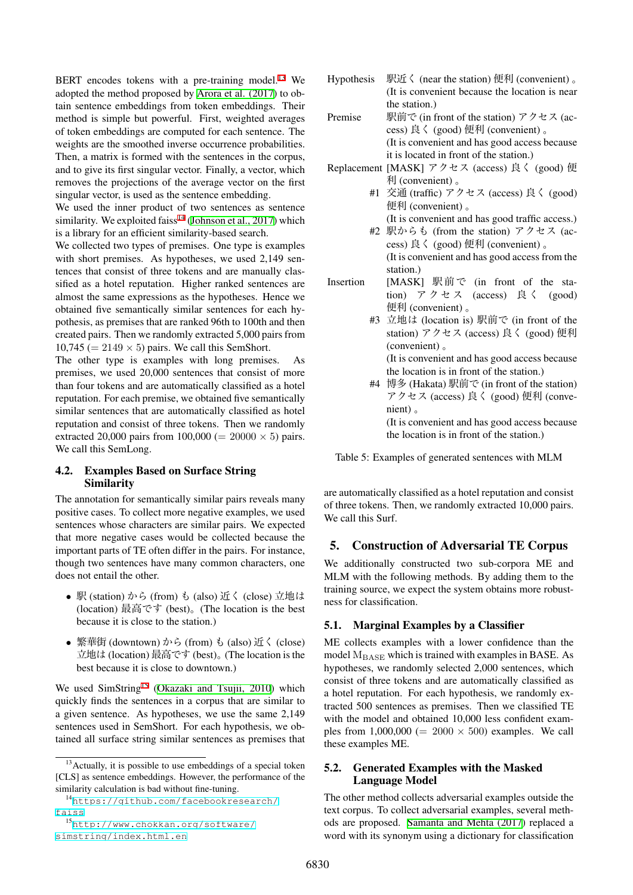BERT encodes tokens with a pre-training model.<sup>[13](#page-3-0)</sup> We adopted the method proposed by [Arora et al. \(2017](#page-6-8)) to obtain sentence embeddings from token embeddings. Their method is simple but powerful. First, weighted averages of token embeddings are computed for each sentence. The weights are the smoothed inverse occurrence probabilities. Then, a matrix is formed with the sentences in the corpus, and to give its first singular vector. Finally, a vector, which removes the projections of the average vector on the first singular vector, is used as the sentence embedding.

We used the inner product of two sentences as sentence similarity. We exploited faiss<sup>[14](#page-3-1)</sup> ([Johnson et al., 2017](#page-6-9)) which is a library for an efficient similarity-based search.

We collected two types of premises. One type is examples with short premises. As hypotheses, we used 2,149 sentences that consist of three tokens and are manually classified as a hotel reputation. Higher ranked sentences are almost the same expressions as the hypotheses. Hence we obtained five semantically similar sentences for each hypothesis, as premises that are ranked 96th to 100th and then created pairs. Then we randomly extracted 5,000 pairs from  $10,745 (= 2149 \times 5)$  pairs. We call this SemShort.

The other type is examples with long premises. As premises, we used 20,000 sentences that consist of more than four tokens and are automatically classified as a hotel reputation. For each premise, we obtained five semantically similar sentences that are automatically classified as hotel reputation and consist of three tokens. Then we randomly extracted 20,000 pairs from  $100,000 (= 20000 \times 5)$  pairs. We call this SemLong.

### 4.2. Examples Based on Surface String Similarity

The annotation for semantically similar pairs reveals many positive cases. To collect more negative examples, we used sentences whose characters are similar pairs. We expected that more negative cases would be collected because the important parts of TE often differ in the pairs. For instance, though two sentences have many common characters, one does not entail the other.

- *•* <sup>駅</sup> (station) から (from) <sup>も</sup> (also) 近く (close) 立地は (location) 最高です (best)。(The location is the best because it is close to the station.)
- *•* 繁華街 (downtown) から (from) <sup>も</sup> (also) 近く (close) 立地は (location) 最高です (best)。(The location is the best because it is close to downtown.)

We used SimString<sup>[15](#page-3-2)</sup> ([Okazaki and Tsujii, 2010\)](#page-6-10) which quickly finds the sentences in a corpus that are similar to a given sentence. As hypotheses, we use the same 2,149 sentences used in SemShort. For each hypothesis, we obtained all surface string similar sentences as premises that

- Hypothesis 駅近く (near the station) 便利 (convenient) 。 (It is convenient because the location is near the station.) Premise 駅前で (in front of the station) アクセス (ac
	- cess) 良く (good) 便利 (convenient) 。 (It is convenient and has good access because it is located in front of the station.)
- Replacement [MASK] アクセス (access) 良く (good) 便 利 (convenient) 。
	- #1 交通 (traffic) アクセス (access) 良く (good) 便利 (convenient) 。
	- (It is convenient and has good traffic access.) #2 駅からも (from the station) アクセス (access) 良く (good) 便利 (convenient) 。

(It is convenient and has good access from the station.)

- Insertion [MASK] 駅前で (in front of the station) アクセス (access) 良く (good) 便利 (convenient) 。
	- #3 立地は (location is) 駅前で (in front of the station) アクセス (access) 良く (good) 便利 (convenient) 。 (It is convenient and has good access because
	- the location is in front of the station.) #4 博多 (Hakata) 駅前で (in front of the station) アクセス (access) 良く (good) 便利 (convenient) 。 (It is convenient and has good access because the location is in front of the station.)

<span id="page-3-3"></span>Table 5: Examples of generated sentences with MLM

are automatically classified as a hotel reputation and consist of three tokens. Then, we randomly extracted 10,000 pairs. We call this Surf.

# 5. Construction of Adversarial TE Corpus

We additionally constructed two sub-corpora ME and MLM with the following methods. By adding them to the training source, we expect the system obtains more robustness for classification.

# 5.1. Marginal Examples by a Classifier

ME collects examples with a lower confidence than the model  $M<sub>BASE</sub>$  which is trained with examples in BASE. As hypotheses, we randomly selected 2,000 sentences, which consist of three tokens and are automatically classified as a hotel reputation. For each hypothesis, we randomly extracted 500 sentences as premises. Then we classified TE with the model and obtained 10,000 less confident examples from  $1,000,000 (= 2000 \times 500)$  examples. We call these examples ME.

### 5.2. Generated Examples with the Masked Language Model

The other method collects adversarial examples outside the text corpus. To collect adversarial examples, several methods are proposed. [Samanta and Mehta \(2017](#page-6-11)) replaced a word with its synonym using a dictionary for classification

<span id="page-3-0"></span> $13$ Actually, it is possible to use embeddings of a special token [CLS] as sentence embeddings. However, the performance of the similarity calculation is bad without fine-tuning.

<span id="page-3-1"></span><sup>14</sup>[https://github.com/facebookresearch/](https://github.com/facebookresearch/faiss) [faiss](https://github.com/facebookresearch/faiss)

<span id="page-3-2"></span><sup>15</sup>[http://www.chokkan.org/software/](http://www.chokkan.org/software/simstring/index.html.en) [simstring/index.html.en](http://www.chokkan.org/software/simstring/index.html.en)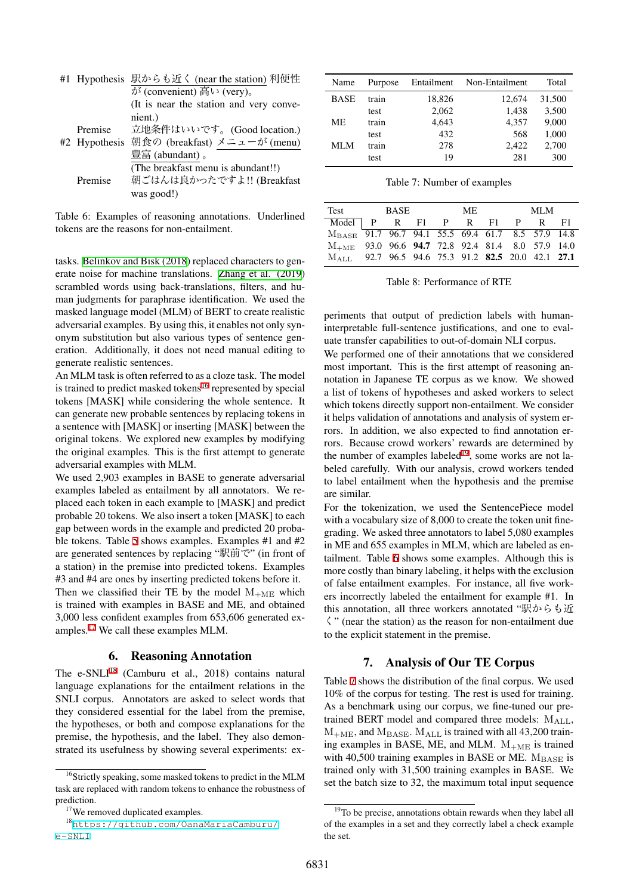|         | #1 Hypothesis 駅からも近く (near the station) 利便性 |
|---------|---------------------------------------------|
|         | が (convenient) 高い (very)。                   |
|         | (It is near the station and very conve-     |
|         | nient.)                                     |
| Premise | 立地条件はいいです。(Good location.)                  |
|         | #2 Hypothesis 朝食の (breakfast) メニューが (menu)  |
|         | 豊富 (abundant)。                              |
|         | (The breakfast menu is abundant!!)          |
| Premise | 朝ごはんは良かったですよ!! (Breakfast                   |
|         | was good!)                                  |

<span id="page-4-4"></span>Table 6: Examples of reasoning annotations. Underlined tokens are the reasons for non-entailment.

tasks. [Belinkov and Bisk \(2018\)](#page-6-12) replaced characters to generate noise for machine translations. [Zhang et al. \(2019\)](#page-6-13) scrambled words using back-translations, filters, and human judgments for paraphrase identification. We used the masked language model (MLM) of BERT to create realistic adversarial examples. By using this, it enables not only synonym substitution but also various types of sentence generation. Additionally, it does not need manual editing to generate realistic sentences.

An MLM task is often referred to as a cloze task. The model is trained to predict masked tokens<sup>[16](#page-4-0)</sup> represented by special tokens [MASK] while considering the whole sentence. It can generate new probable sentences by replacing tokens in a sentence with [MASK] or inserting [MASK] between the original tokens. We explored new examples by modifying the original examples. This is the first attempt to generate adversarial examples with MLM.

We used 2,903 examples in BASE to generate adversarial examples labeled as entailment by all annotators. We replaced each token in each example to [MASK] and predict probable 20 tokens. We also insert a token [MASK] to each gap between words in the example and predicted 20 probable tokens. Table [5](#page-3-3) shows examples. Examples #1 and #2 are generated sentences by replacing "駅前で" (in front of a station) in the premise into predicted tokens. Examples #3 and #4 are ones by inserting predicted tokens before it. Then we classified their TE by the model  $M_{+\text{ME}}$  which is trained with examples in BASE and ME, and obtained 3,000 less confident examples from 653,606 generated examples.[17](#page-4-1) We call these examples MLM.

### 6. Reasoning Annotation

The e-SNLI $^{18}$  $^{18}$  $^{18}$  (Camburu et al., 2018) contains natural language explanations for the entailment relations in the SNLI corpus. Annotators are asked to select words that they considered essential for the label from the premise, the hypotheses, or both and compose explanations for the premise, the hypothesis, and the label. They also demonstrated its usefulness by showing several experiments: ex-

| Name        | Purpose | Entailment | Non-Entailment | Total  |
|-------------|---------|------------|----------------|--------|
| <b>BASE</b> | train   | 18,826     | 12.674         | 31,500 |
|             | test    | 2,062      | 1,438          | 3,500  |
| ME.         | train   | 4,643      | 4,357          | 9,000  |
|             | test    | 432        | 568            | 1,000  |
| MLM         | train   | 278        | 2.422          | 2,700  |
|             | test    | 19         | 281            | 300    |

<span id="page-4-5"></span>Table 7: Number of examples

|                                                                             | Test BASE |  |  | ME |  |  | MLM |  |  |
|-----------------------------------------------------------------------------|-----------|--|--|----|--|--|-----|--|--|
| Model P R F1 P R F1 P R F1                                                  |           |  |  |    |  |  |     |  |  |
| M <sub>BASE</sub> 91.7 96.7 94.1 55.5 69.4 61.7 8.5 57.9 14.8               |           |  |  |    |  |  |     |  |  |
| $M_{+ME}$ 93.0 96.6 94.7 72.8 92.4 81.4 8.0 57.9 14.0                       |           |  |  |    |  |  |     |  |  |
| M <sub>ALL</sub> 92.7 96.5 94.6 75.3 91.2 <b>82.5</b> 20.0 42.1 <b>27.1</b> |           |  |  |    |  |  |     |  |  |

<span id="page-4-6"></span>Table 8: Performance of RTE

periments that output of prediction labels with humaninterpretable full-sentence justifications, and one to evaluate transfer capabilities to out-of-domain NLI corpus.

We performed one of their annotations that we considered most important. This is the first attempt of reasoning annotation in Japanese TE corpus as we know. We showed a list of tokens of hypotheses and asked workers to select which tokens directly support non-entailment. We consider it helps validation of annotations and analysis of system errors. In addition, we also expected to find annotation errors. Because crowd workers' rewards are determined by the number of examples labeled<sup>[19](#page-4-3)</sup>, some works are not labeled carefully. With our analysis, crowd workers tended to label entailment when the hypothesis and the premise are similar.

For the tokenization, we used the SentencePiece model with a vocabulary size of 8,000 to create the token unit finegrading. We asked three annotators to label 5,080 examples in ME and 655 examples in MLM, which are labeled as entailment. Table [6](#page-4-4) shows some examples. Although this is more costly than binary labeling, it helps with the exclusion of false entailment examples. For instance, all five workers incorrectly labeled the entailment for example #1. In this annotation, all three workers annotated "駅からも近 く" (near the station) as the reason for non-entailment due to the explicit statement in the premise.

# 7. Analysis of Our TE Corpus

Table [7](#page-4-5) shows the distribution of the final corpus. We used 10% of the corpus for testing. The rest is used for training. As a benchmark using our corpus, we fine-tuned our pretrained BERT model and compared three models:  $M_{ALL}$ ,  $M_{+ME}$ , and  $M_{\rm BASE}$ .  $M_{ALL}$  is trained with all 43,200 training examples in BASE, ME, and MLM.  $M_{+ME}$  is trained with 40,500 training examples in BASE or ME.  $M_{\rm BASE}$  is trained only with 31,500 training examples in BASE. We set the batch size to 32, the maximum total input sequence

<span id="page-4-0"></span><sup>&</sup>lt;sup>16</sup>Strictly speaking, some masked tokens to predict in the MLM task are replaced with random tokens to enhance the robustness of prediction.

<span id="page-4-2"></span><span id="page-4-1"></span><sup>&</sup>lt;sup>17</sup>We removed duplicated examples.

<sup>18</sup>[https://github.com/OanaMariaCamburu/](https://github.com/OanaMariaCamburu/e-SNLI) [e-SNLI](https://github.com/OanaMariaCamburu/e-SNLI)

<span id="page-4-3"></span><sup>&</sup>lt;sup>19</sup>To be precise, annotations obtain rewards when they label all of the examples in a set and they correctly label a check example the set.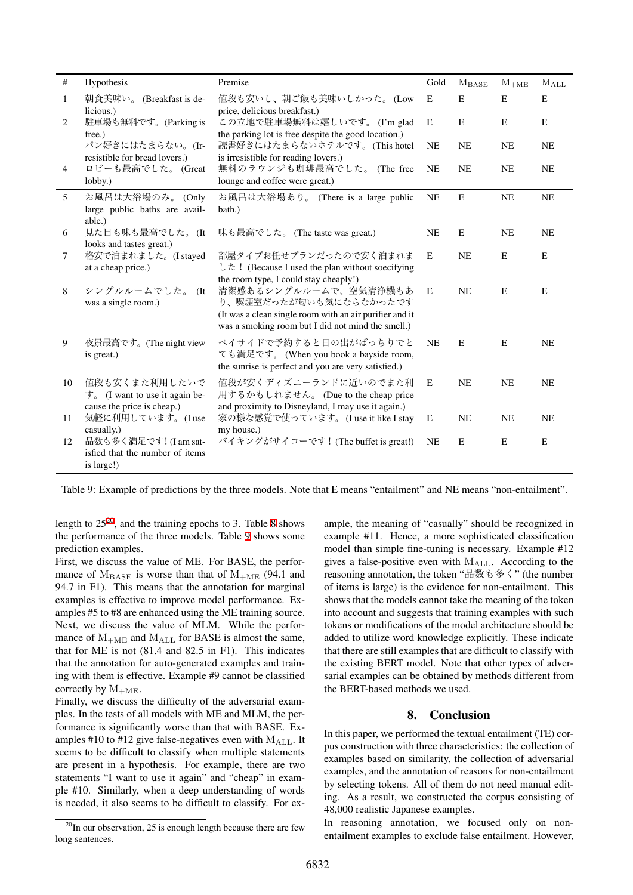| #              | Hypothesis                                                                                            | Premise                                                                                                                                                         | Gold      | $M_{BASE}$  | $M_{+ME}$ | $M_{ALL}$   |
|----------------|-------------------------------------------------------------------------------------------------------|-----------------------------------------------------------------------------------------------------------------------------------------------------------------|-----------|-------------|-----------|-------------|
| $\mathbf{1}$   | 朝食美味い。 (Breakfast is de-<br>licious.)                                                                 | 値段も安いし、朝ご飯も美味いしかった。(Low<br>price, delicious breakfast.)                                                                                                         | E         | $\mathbf E$ | ${\bf E}$ | $\mathbf E$ |
| 2              | 駐車場も無料です。(Parking is<br>free.)                                                                        | この立地で駐車場無料は嬉しいです。(I'm glad<br>the parking lot is free despite the good location.)                                                                               | E         | E           | E         | E           |
|                | パン好きにはたまらない。(Ir-<br>resistible for bread lovers.)                                                     | 読書好きにはたまらないホテルです。(This hotel<br>is irresistible for reading lovers.)                                                                                            | <b>NE</b> | <b>NE</b>   | <b>NE</b> | <b>NE</b>   |
| $\overline{4}$ | ロビーも最高でした。 (Great<br>$lobby.$ )                                                                       | 無料のラウンジも珈琲最高でした。 (The free<br>lounge and coffee were great.)                                                                                                    | <b>NE</b> | <b>NE</b>   | <b>NE</b> | <b>NE</b>   |
| 5              | お風呂は大浴場のみ。(Only<br>large public baths are avail-<br>able.)                                            | お風呂は大浴場あり。 (There is a large public<br>bath.)                                                                                                                   | <b>NE</b> | E           | NE        | <b>NE</b>   |
| 6              | 見た目も味も最高でした。(It<br>looks and tastes great.)                                                           | 味も最高でした。 (The taste was great.)                                                                                                                                 | <b>NE</b> | E           | <b>NE</b> | <b>NE</b>   |
| 7              | 格安で泊まれました。(I stayed<br>at a cheap price.)                                                             | 部屋タイプお任せプランだったので安く泊まれま<br>した! (Because I used the plan without soecifying<br>the room type, I could stay cheaply!)                                              | E         | <b>NE</b>   | E         | E           |
| 8              | シングルルームでした。<br>(It<br>was a single room.)                                                             | 清潔感あるシングルルームで、空気清浄機もあ<br>り、喫煙室だったが匂いも気にならなかったです<br>(It was a clean single room with an air purifier and it<br>was a smoking room but I did not mind the smell.) | E         | <b>NE</b>   | E         | E           |
| 9              | 夜景最高です。(The night view<br>is great.)                                                                  | ベイサイドで予約すると日の出がばっちりでと<br>ても満足です。 (When you book a bayside room,<br>the sunrise is perfect and you are very satisfied.)                                          | <b>NE</b> | E           | E         | NE          |
| 10             | 値段も安くまた利用したいで<br>$\overline{\mathcal{F}}_o$ (I want to use it again be-<br>cause the price is cheap.) | 値段が安くディズニーランドに近いのでまた利<br>用するかもしれません。 (Due to the cheap price<br>and proximity to Disneyland, I may use it again.)                                               | E         | <b>NE</b>   | <b>NE</b> | <b>NE</b>   |
| 11             | 気軽に利用しています。(Iuse<br>casually.)                                                                        | 家の様な感覚で使っています。(I use it like I stay<br>my house.)                                                                                                               | E         | <b>NE</b>   | <b>NE</b> | <b>NE</b>   |
| 12             | 品数も多く満足です! (I am sat-<br>isfied that the number of items<br>is large!)                                | バイキングがサイコーです! (The buffet is great!)                                                                                                                            | <b>NE</b> | E           | E         | E           |

<span id="page-5-1"></span>Table 9: Example of predictions by the three models. Note that E means "entailment" and NE means "non-entailment".

length to  $25^{20}$  $25^{20}$  $25^{20}$ , and the training epochs to 3. Table [8](#page-4-6) shows the performance of the three models. Table [9](#page-5-1) shows some prediction examples.

First, we discuss the value of ME. For BASE, the performance of  $M_{\text{BASE}}$  is worse than that of  $M_{+ME}$  (94.1 and 94.7 in F1). This means that the annotation for marginal examples is effective to improve model performance. Examples #5 to #8 are enhanced using the ME training source. Next, we discuss the value of MLM. While the performance of  $M_{+ME}$  and  $M_{ALL}$  for BASE is almost the same, that for ME is not (81.4 and 82.5 in F1). This indicates that the annotation for auto-generated examples and training with them is effective. Example #9 cannot be classified correctly by  $M_{+ME}$ .

Finally, we discuss the difficulty of the adversarial examples. In the tests of all models with ME and MLM, the performance is significantly worse than that with BASE. Examples #10 to #12 give false-negatives even with  $M_{\text{ALL}}$ . It seems to be difficult to classify when multiple statements are present in a hypothesis. For example, there are two statements "I want to use it again" and "cheap" in example #10. Similarly, when a deep understanding of words is needed, it also seems to be difficult to classify. For example, the meaning of "casually" should be recognized in example #11. Hence, a more sophisticated classification model than simple fine-tuning is necessary. Example #12 gives a false-positive even with MALL. According to the reasoning annotation, the token "品数も多く" (the number of items is large) is the evidence for non-entailment. This shows that the models cannot take the meaning of the token into account and suggests that training examples with such tokens or modifications of the model architecture should be added to utilize word knowledge explicitly. These indicate that there are still examples that are difficult to classify with the existing BERT model. Note that other types of adversarial examples can be obtained by methods different from the BERT-based methods we used.

### 8. Conclusion

In this paper, we performed the textual entailment (TE) corpus construction with three characteristics: the collection of examples based on similarity, the collection of adversarial examples, and the annotation of reasons for non-entailment by selecting tokens. All of them do not need manual editing. As a result, we constructed the corpus consisting of 48,000 realistic Japanese examples.

In reasoning annotation, we focused only on nonentailment examples to exclude false entailment. However,

<span id="page-5-0"></span> $^{20}$ In our observation, 25 is enough length because there are few long sentences.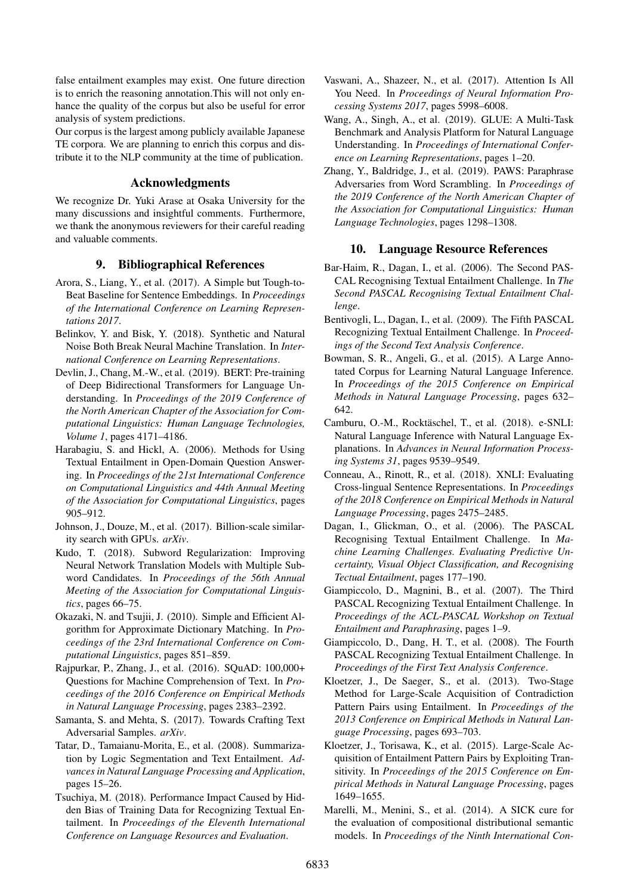false entailment examples may exist. One future direction is to enrich the reasoning annotation.This will not only enhance the quality of the corpus but also be useful for error analysis of system predictions.

Our corpus is the largest among publicly available Japanese TE corpora. We are planning to enrich this corpus and distribute it to the NLP community at the time of publication.

# Acknowledgments

We recognize Dr. Yuki Arase at Osaka University for the many discussions and insightful comments. Furthermore, we thank the anonymous reviewers for their careful reading and valuable comments.

### 9. Bibliographical References

- <span id="page-6-8"></span>Arora, S., Liang, Y., et al. (2017). A Simple but Tough-to-Beat Baseline for Sentence Embeddings. In *Proceedings of the International Conference on Learning Representations 2017*.
- <span id="page-6-12"></span>Belinkov, Y. and Bisk, Y. (2018). Synthetic and Natural Noise Both Break Neural Machine Translation. In *International Conference on Learning Representations*.
- <span id="page-6-3"></span>Devlin, J., Chang, M.-W., et al. (2019). BERT: Pre-training of Deep Bidirectional Transformers for Language Understanding. In *Proceedings of the 2019 Conference of the North American Chapter of the Association for Computational Linguistics: Human Language Technologies, Volume 1*, pages 4171–4186.
- <span id="page-6-1"></span>Harabagiu, S. and Hickl, A. (2006). Methods for Using Textual Entailment in Open-Domain Question Answering. In *Proceedings of the 21st International Conference on Computational Linguistics and 44th Annual Meeting of the Association for Computational Linguistics*, pages 905–912.
- <span id="page-6-9"></span>Johnson, J., Douze, M., et al. (2017). Billion-scale similarity search with GPUs. *arXiv*.
- <span id="page-6-7"></span>Kudo, T. (2018). Subword Regularization: Improving Neural Network Translation Models with Multiple Subword Candidates. In *Proceedings of the 56th Annual Meeting of the Association for Computational Linguistics*, pages 66–75.
- <span id="page-6-10"></span>Okazaki, N. and Tsujii, J. (2010). Simple and Efficient Algorithm for Approximate Dictionary Matching. In *Proceedings of the 23rd International Conference on Computational Linguistics*, pages 851–859.
- <span id="page-6-6"></span>Rajpurkar, P., Zhang, J., et al. (2016). SQuAD: 100,000+ Questions for Machine Comprehension of Text. In *Proceedings of the 2016 Conference on Empirical Methods in Natural Language Processing*, pages 2383–2392.
- <span id="page-6-11"></span>Samanta, S. and Mehta, S. (2017). Towards Crafting Text Adversarial Samples. *arXiv*.
- <span id="page-6-0"></span>Tatar, D., Tamaianu-Morita, E., et al. (2008). Summarization by Logic Segmentation and Text Entailment. *Advances in Natural Language Processing and Application*, pages 15–26.
- <span id="page-6-2"></span>Tsuchiya, M. (2018). Performance Impact Caused by Hidden Bias of Training Data for Recognizing Textual Entailment. In *Proceedings of the Eleventh International Conference on Language Resources and Evaluation*.
- <span id="page-6-4"></span>Vaswani, A., Shazeer, N., et al. (2017). Attention Is All You Need. In *Proceedings of Neural Information Processing Systems 2017*, pages 5998–6008.
- <span id="page-6-5"></span>Wang, A., Singh, A., et al. (2019). GLUE: A Multi-Task Benchmark and Analysis Platform for Natural Language Understanding. In *Proceedings of International Conference on Learning Representations*, pages 1–20.
- <span id="page-6-13"></span>Zhang, Y., Baldridge, J., et al. (2019). PAWS: Paraphrase Adversaries from Word Scrambling. In *Proceedings of the 2019 Conference of the North American Chapter of the Association for Computational Linguistics: Human Language Technologies*, pages 1298–1308.

### 10. Language Resource References

- Bar-Haim, R., Dagan, I., et al. (2006). The Second PAS-CAL Recognising Textual Entailment Challenge. In *The Second PASCAL Recognising Textual Entailment Challenge*.
- Bentivogli, L., Dagan, I., et al. (2009). The Fifth PASCAL Recognizing Textual Entailment Challenge. In *Proceedings of the Second Text Analysis Conference*.
- Bowman, S. R., Angeli, G., et al. (2015). A Large Annotated Corpus for Learning Natural Language Inference. In *Proceedings of the 2015 Conference on Empirical Methods in Natural Language Processing*, pages 632– 642.
- Camburu, O.-M., Rocktäschel, T., et al. (2018). e-SNLI: Natural Language Inference with Natural Language Explanations. In *Advances in Neural Information Processing Systems 31*, pages 9539–9549.
- Conneau, A., Rinott, R., et al. (2018). XNLI: Evaluating Cross-lingual Sentence Representations. In *Proceedings of the 2018 Conference on Empirical Methods in Natural Language Processing*, pages 2475–2485.
- Dagan, I., Glickman, O., et al. (2006). The PASCAL Recognising Textual Entailment Challenge. In *Machine Learning Challenges. Evaluating Predictive Uncertainty, Visual Object Classification, and Recognising Tectual Entailment*, pages 177–190.
- Giampiccolo, D., Magnini, B., et al. (2007). The Third PASCAL Recognizing Textual Entailment Challenge. In *Proceedings of the ACL-PASCAL Workshop on Textual Entailment and Paraphrasing*, pages 1–9.
- Giampiccolo, D., Dang, H. T., et al. (2008). The Fourth PASCAL Recognizing Textual Entailment Challenge. In *Proceedings of the First Text Analysis Conference*.
- Kloetzer, J., De Saeger, S., et al. (2013). Two-Stage Method for Large-Scale Acquisition of Contradiction Pattern Pairs using Entailment. In *Proceedings of the 2013 Conference on Empirical Methods in Natural Language Processing*, pages 693–703.
- Kloetzer, J., Torisawa, K., et al. (2015). Large-Scale Acquisition of Entailment Pattern Pairs by Exploiting Transitivity. In *Proceedings of the 2015 Conference on Empirical Methods in Natural Language Processing*, pages 1649–1655.
- Marelli, M., Menini, S., et al. (2014). A SICK cure for the evaluation of compositional distributional semantic models. In *Proceedings of the Ninth International Con-*